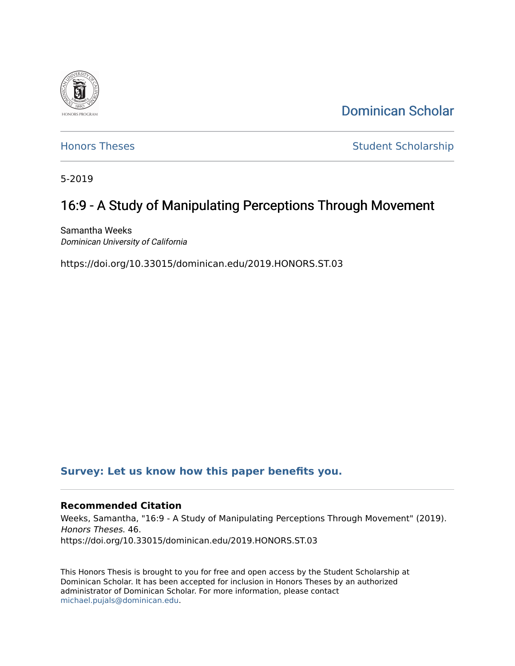

[Dominican Scholar](https://scholar.dominican.edu/) 

[Honors Theses](https://scholar.dominican.edu/honors-theses) **Student Scholarship** 

5-2019

## 16:9 - A Study of Manipulating Perceptions Through Movement

Samantha Weeks Dominican University of California

https://doi.org/10.33015/dominican.edu/2019.HONORS.ST.03

### **[Survey: Let us know how this paper benefits you.](https://dominican.libwizard.com/dominican-scholar-feedback)**

#### **Recommended Citation**

Weeks, Samantha, "16:9 - A Study of Manipulating Perceptions Through Movement" (2019). Honors Theses. 46. https://doi.org/10.33015/dominican.edu/2019.HONORS.ST.03

This Honors Thesis is brought to you for free and open access by the Student Scholarship at Dominican Scholar. It has been accepted for inclusion in Honors Theses by an authorized administrator of Dominican Scholar. For more information, please contact [michael.pujals@dominican.edu.](mailto:michael.pujals@dominican.edu)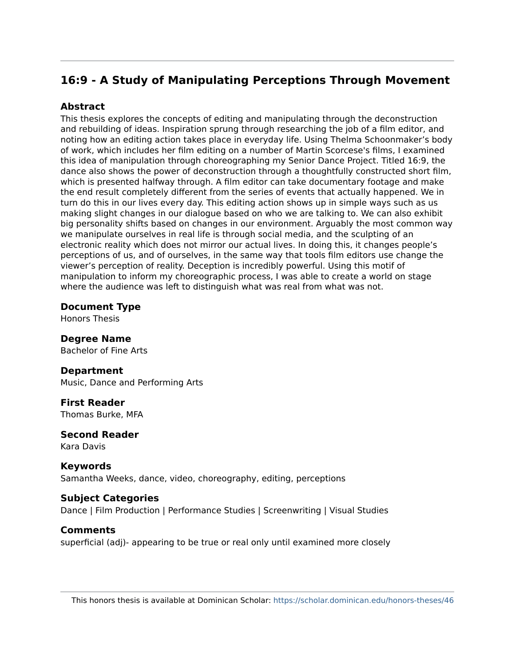### **16:9 - A Study of Manipulating Perceptions Through Movement**

#### **Abstract**

This thesis explores the concepts of editing and manipulating through the deconstruction and rebuilding of ideas. Inspiration sprung through researching the job of a film editor, and noting how an editing action takes place in everyday life. Using Thelma Schoonmaker's body of work, which includes her film editing on a number of Martin Scorcese's films, I examined this idea of manipulation through choreographing my Senior Dance Project. Titled 16:9, the dance also shows the power of deconstruction through a thoughtfully constructed short film, which is presented halfway through. A film editor can take documentary footage and make the end result completely different from the series of events that actually happened. We in turn do this in our lives every day. This editing action shows up in simple ways such as us making slight changes in our dialogue based on who we are talking to. We can also exhibit big personality shifts based on changes in our environment. Arguably the most common way we manipulate ourselves in real life is through social media, and the sculpting of an electronic reality which does not mirror our actual lives. In doing this, it changes people's perceptions of us, and of ourselves, in the same way that tools film editors use change the viewer's perception of reality. Deception is incredibly powerful. Using this motif of manipulation to inform my choreographic process, I was able to create a world on stage where the audience was left to distinguish what was real from what was not.

#### **Document Type**

Honors Thesis

#### **Degree Name**  Bachelor of Fine Arts

#### **Department**  Music, Dance and Performing Arts

**First Reader**  Thomas Burke, MFA

#### **Second Reader**  Kara Davis

**Keywords**  Samantha Weeks, dance, video, choreography, editing, perceptions

#### **Subject Categories**

Dance | Film Production | Performance Studies | Screenwriting | Visual Studies

#### **Comments**

superficial (adj)- appearing to be true or real only until examined more closely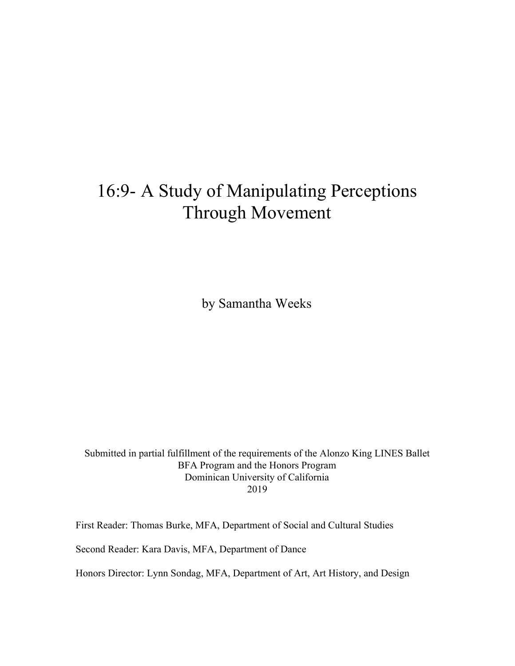# 16:9- A Study of Manipulating Perceptions Through Movement

by Samantha Weeks

Submitted in partial fulfillment of the requirements of the Alonzo King LINES Ballet BFA Program and the Honors Program Dominican University of California 2019

First Reader: Thomas Burke, MFA, Department of Social and Cultural Studies

Second Reader: Kara Davis, MFA, Department of Dance

Honors Director: Lynn Sondag, MFA, Department of Art, Art History, and Design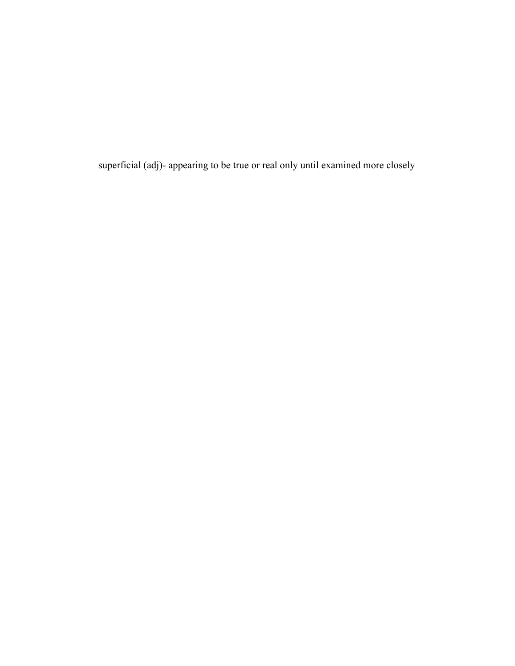superficial (adj)- appearing to be true or real only until examined more closely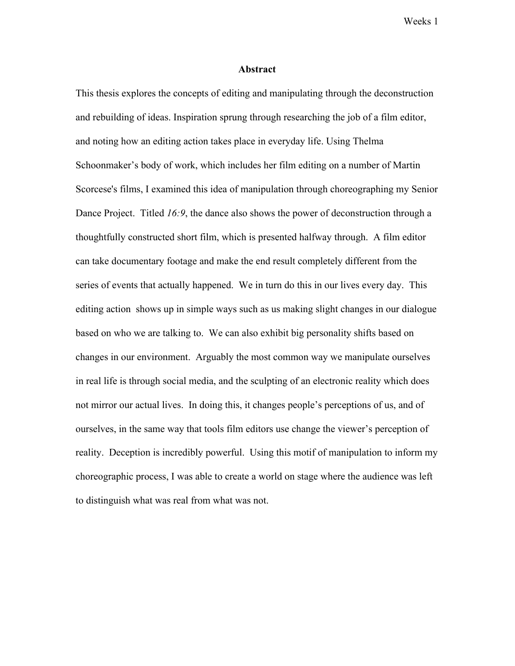#### **Abstract**

This thesis explores the concepts of editing and manipulating through the deconstruction and rebuilding of ideas. Inspiration sprung through researching the job of a film editor, and noting how an editing action takes place in everyday life. Using Thelma Schoonmaker's body of work, which includes her film editing on a number of Martin Scorcese's films, I examined this idea of manipulation through choreographing my Senior Dance Project. Titled *16:9*, the dance also shows the power of deconstruction through a thoughtfully constructed short film, which is presented halfway through. A film editor can take documentary footage and make the end result completely different from the series of events that actually happened. We in turn do this in our lives every day. This editing action shows up in simple ways such as us making slight changes in our dialogue based on who we are talking to. We can also exhibit big personality shifts based on changes in our environment. Arguably the most common way we manipulate ourselves in real life is through social media, and the sculpting of an electronic reality which does not mirror our actual lives. In doing this, it changes people's perceptions of us, and of ourselves, in the same way that tools film editors use change the viewer's perception of reality. Deception is incredibly powerful. Using this motif of manipulation to inform my choreographic process, I was able to create a world on stage where the audience was left to distinguish what was real from what was not.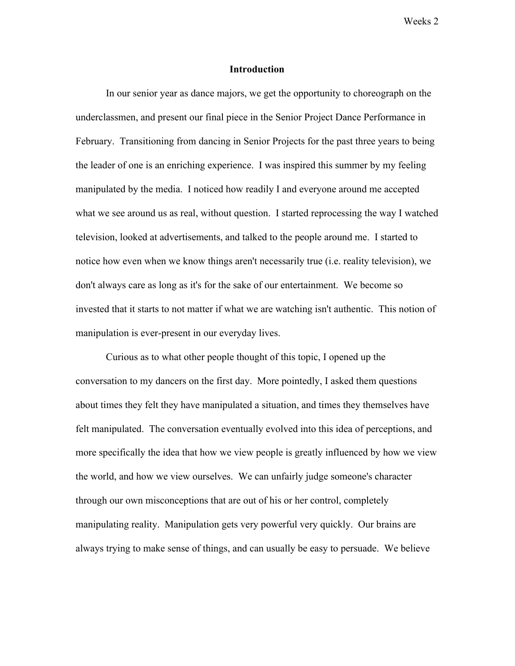#### **Introduction**

In our senior year as dance majors, we get the opportunity to choreograph on the underclassmen, and present our final piece in the Senior Project Dance Performance in February. Transitioning from dancing in Senior Projects for the past three years to being the leader of one is an enriching experience. I was inspired this summer by my feeling manipulated by the media. I noticed how readily I and everyone around me accepted what we see around us as real, without question. I started reprocessing the way I watched television, looked at advertisements, and talked to the people around me. I started to notice how even when we know things aren't necessarily true (i.e. reality television), we don't always care as long as it's for the sake of our entertainment. We become so invested that it starts to not matter if what we are watching isn't authentic. This notion of manipulation is ever-present in our everyday lives.

Curious as to what other people thought of this topic, I opened up the conversation to my dancers on the first day. More pointedly, I asked them questions about times they felt they have manipulated a situation, and times they themselves have felt manipulated. The conversation eventually evolved into this idea of perceptions, and more specifically the idea that how we view people is greatly influenced by how we view the world, and how we view ourselves. We can unfairly judge someone's character through our own misconceptions that are out of his or her control, completely manipulating reality. Manipulation gets very powerful very quickly. Our brains are always trying to make sense of things, and can usually be easy to persuade. We believe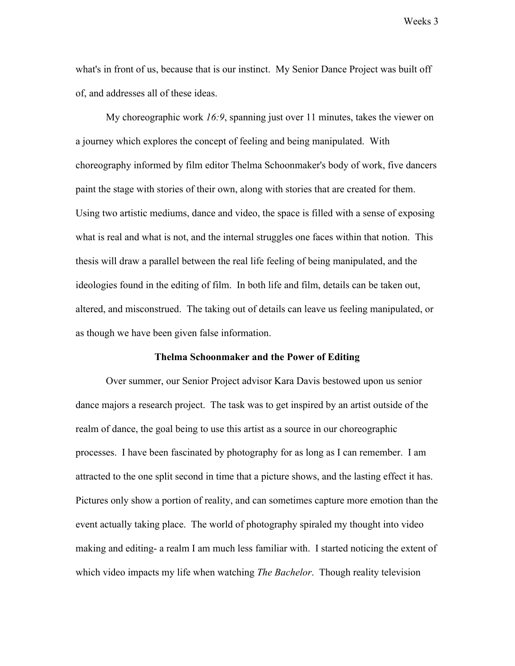what's in front of us, because that is our instinct. My Senior Dance Project was built off of, and addresses all of these ideas.

My choreographic work *16:9*, spanning just over 11 minutes, takes the viewer on a journey which explores the concept of feeling and being manipulated. With choreography informed by film editor Thelma Schoonmaker's body of work, five dancers paint the stage with stories of their own, along with stories that are created for them. Using two artistic mediums, dance and video, the space is filled with a sense of exposing what is real and what is not, and the internal struggles one faces within that notion. This thesis will draw a parallel between the real life feeling of being manipulated, and the ideologies found in the editing of film. In both life and film, details can be taken out, altered, and misconstrued. The taking out of details can leave us feeling manipulated, or as though we have been given false information.

#### **Thelma Schoonmaker and the Power of Editing**

Over summer, our Senior Project advisor Kara Davis bestowed upon us senior dance majors a research project. The task was to get inspired by an artist outside of the realm of dance, the goal being to use this artist as a source in our choreographic processes. I have been fascinated by photography for as long as I can remember. I am attracted to the one split second in time that a picture shows, and the lasting effect it has. Pictures only show a portion of reality, and can sometimes capture more emotion than the event actually taking place. The world of photography spiraled my thought into video making and editing- a realm I am much less familiar with. I started noticing the extent of which video impacts my life when watching *The Bachelor*. Though reality television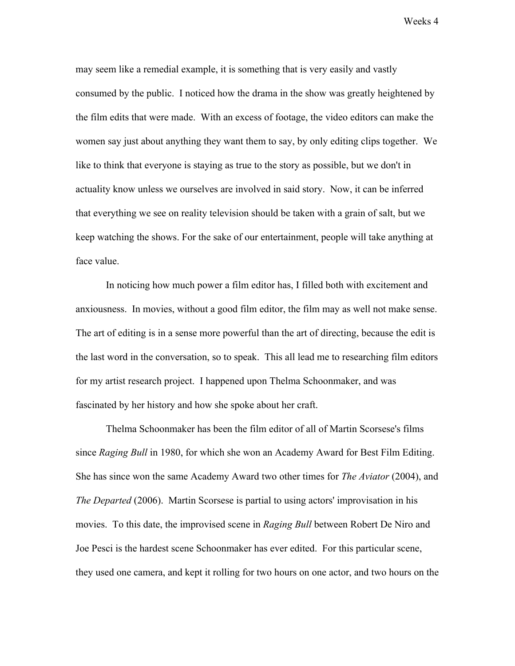may seem like a remedial example, it is something that is very easily and vastly consumed by the public. I noticed how the drama in the show was greatly heightened by the film edits that were made. With an excess of footage, the video editors can make the women say just about anything they want them to say, by only editing clips together. We like to think that everyone is staying as true to the story as possible, but we don't in actuality know unless we ourselves are involved in said story. Now, it can be inferred that everything we see on reality television should be taken with a grain of salt, but we keep watching the shows. For the sake of our entertainment, people will take anything at face value.

In noticing how much power a film editor has, I filled both with excitement and anxiousness. In movies, without a good film editor, the film may as well not make sense. The art of editing is in a sense more powerful than the art of directing, because the edit is the last word in the conversation, so to speak. This all lead me to researching film editors for my artist research project. I happened upon Thelma Schoonmaker, and was fascinated by her history and how she spoke about her craft.

Thelma Schoonmaker has been the film editor of all of Martin Scorsese's films since *Raging Bull* in 1980, for which she won an Academy Award for Best Film Editing. She has since won the same Academy Award two other times for *The Aviator* (2004), and *The Departed* (2006). Martin Scorsese is partial to using actors' improvisation in his movies. To this date, the improvised scene in *Raging Bull* between Robert De Niro and Joe Pesci is the hardest scene Schoonmaker has ever edited. For this particular scene, they used one camera, and kept it rolling for two hours on one actor, and two hours on the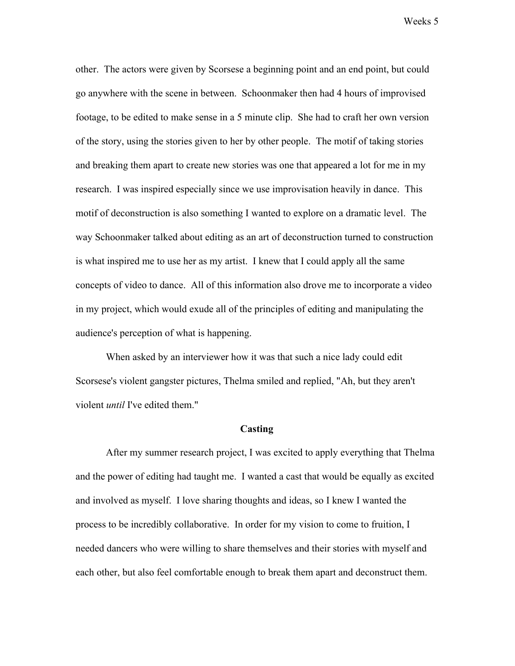other. The actors were given by Scorsese a beginning point and an end point, but could go anywhere with the scene in between. Schoonmaker then had 4 hours of improvised footage, to be edited to make sense in a 5 minute clip. She had to craft her own version of the story, using the stories given to her by other people. The motif of taking stories and breaking them apart to create new stories was one that appeared a lot for me in my research. I was inspired especially since we use improvisation heavily in dance. This motif of deconstruction is also something I wanted to explore on a dramatic level. The way Schoonmaker talked about editing as an art of deconstruction turned to construction is what inspired me to use her as my artist. I knew that I could apply all the same concepts of video to dance. All of this information also drove me to incorporate a video in my project, which would exude all of the principles of editing and manipulating the audience's perception of what is happening.

When asked by an interviewer how it was that such a nice lady could edit Scorsese's violent gangster pictures, Thelma smiled and replied, "Ah, but they aren't violent *until* I've edited them."

#### **Casting**

After my summer research project, I was excited to apply everything that Thelma and the power of editing had taught me. I wanted a cast that would be equally as excited and involved as myself. I love sharing thoughts and ideas, so I knew I wanted the process to be incredibly collaborative. In order for my vision to come to fruition, I needed dancers who were willing to share themselves and their stories with myself and each other, but also feel comfortable enough to break them apart and deconstruct them.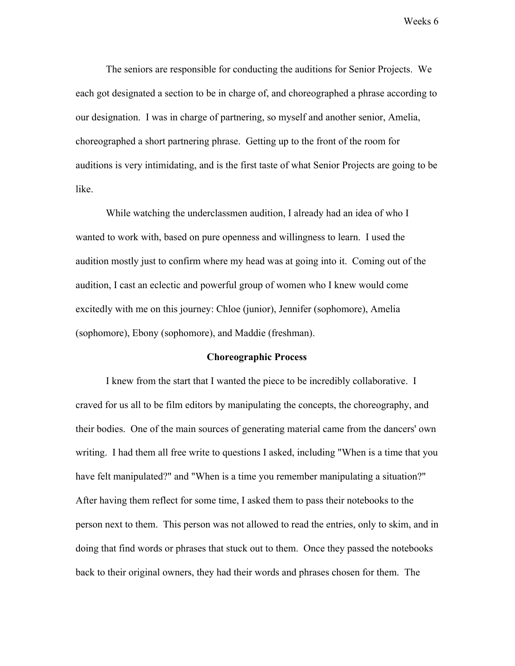The seniors are responsible for conducting the auditions for Senior Projects. We each got designated a section to be in charge of, and choreographed a phrase according to our designation. I was in charge of partnering, so myself and another senior, Amelia, choreographed a short partnering phrase. Getting up to the front of the room for auditions is very intimidating, and is the first taste of what Senior Projects are going to be like.

While watching the underclassmen audition, I already had an idea of who I wanted to work with, based on pure openness and willingness to learn. I used the audition mostly just to confirm where my head was at going into it. Coming out of the audition, I cast an eclectic and powerful group of women who I knew would come excitedly with me on this journey: Chloe (junior), Jennifer (sophomore), Amelia (sophomore), Ebony (sophomore), and Maddie (freshman).

#### **Choreographic Process**

I knew from the start that I wanted the piece to be incredibly collaborative. I craved for us all to be film editors by manipulating the concepts, the choreography, and their bodies. One of the main sources of generating material came from the dancers' own writing. I had them all free write to questions I asked, including "When is a time that you have felt manipulated?" and "When is a time you remember manipulating a situation?" After having them reflect for some time, I asked them to pass their notebooks to the person next to them. This person was not allowed to read the entries, only to skim, and in doing that find words or phrases that stuck out to them. Once they passed the notebooks back to their original owners, they had their words and phrases chosen for them. The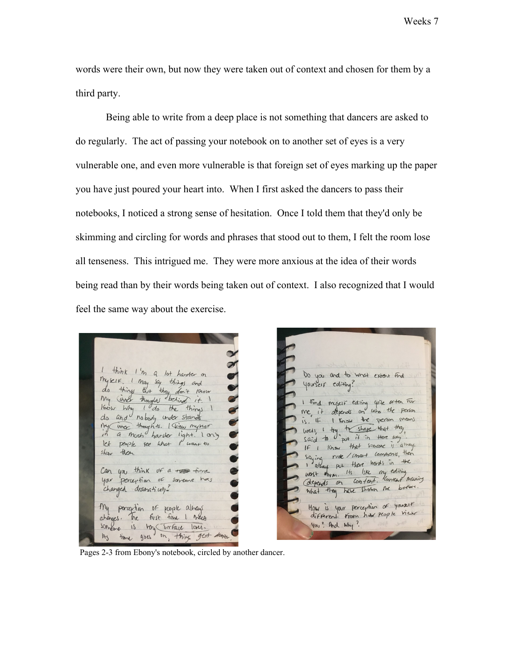words were their own, but now they were taken out of context and chosen for them by a third party.

Being able to write from a deep place is not something that dancers are asked to do regularly. The act of passing your notebook on to another set of eyes is a very vulnerable one, and even more vulnerable is that foreign set of eyes marking up the paper you have just poured your heart into. When I first asked the dancers to pass their notebooks, I noticed a strong sense of hesitation. Once I told them that they'd only be skimming and circling for words and phrases that stood out to them, I felt the room lose all tenseness. This intrigued me. They were more anxious at the idea of their words being read than by their words being taken out of context. I also recognized that I would feel the same way about the exercise.

think I'm a lot harder on Myself I May say things and<br>do things that they don't know My inner thoughts behind it. I I do the things I Know Why do and nobody under stands in a moch harster light. I any let people see what I want to then show Can you think or a read time your perception of someone has changed dramatically? My perception of people always changes. The first time I meet someone is voy (surface laves. time goes on thing gest deger  $A<sub>5</sub>$ 

Do you and to what extent find yourself editing? I find myself editing give often For that myself cannot use the person is. If I know the person means  $15.4$  throw the Mat they<br>said to "put it in the any IF I Know that someone is always If I Know that summer is then<br>Saying rude / smart comments, then<br>I always put there had in the Worst Horm. The Romeont Meaning orepears on control.<br>What they have strown the before How is your perception of yourself different from how people view You ? And Why?

Pages 2-3 from Ebony's notebook, circled by another dancer.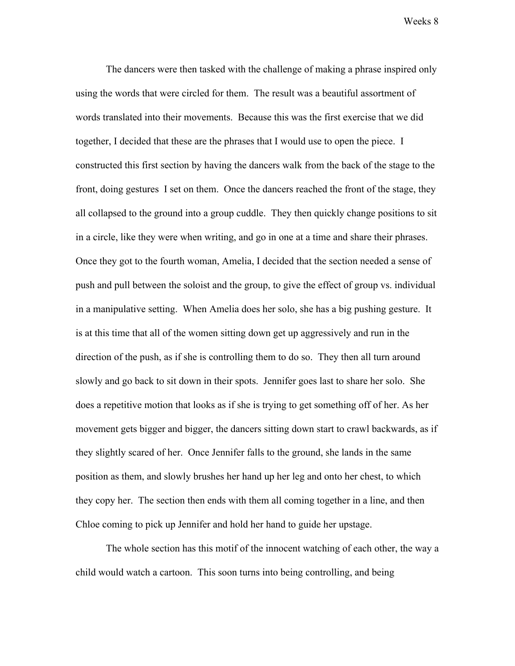The dancers were then tasked with the challenge of making a phrase inspired only using the words that were circled for them. The result was a beautiful assortment of words translated into their movements. Because this was the first exercise that we did together, I decided that these are the phrases that I would use to open the piece. I constructed this first section by having the dancers walk from the back of the stage to the front, doing gestures I set on them. Once the dancers reached the front of the stage, they all collapsed to the ground into a group cuddle. They then quickly change positions to sit in a circle, like they were when writing, and go in one at a time and share their phrases. Once they got to the fourth woman, Amelia, I decided that the section needed a sense of push and pull between the soloist and the group, to give the effect of group vs. individual in a manipulative setting. When Amelia does her solo, she has a big pushing gesture. It is at this time that all of the women sitting down get up aggressively and run in the direction of the push, as if she is controlling them to do so. They then all turn around slowly and go back to sit down in their spots. Jennifer goes last to share her solo. She does a repetitive motion that looks as if she is trying to get something off of her. As her movement gets bigger and bigger, the dancers sitting down start to crawl backwards, as if they slightly scared of her. Once Jennifer falls to the ground, she lands in the same position as them, and slowly brushes her hand up her leg and onto her chest, to which they copy her. The section then ends with them all coming together in a line, and then Chloe coming to pick up Jennifer and hold her hand to guide her upstage.

The whole section has this motif of the innocent watching of each other, the way a child would watch a cartoon. This soon turns into being controlling, and being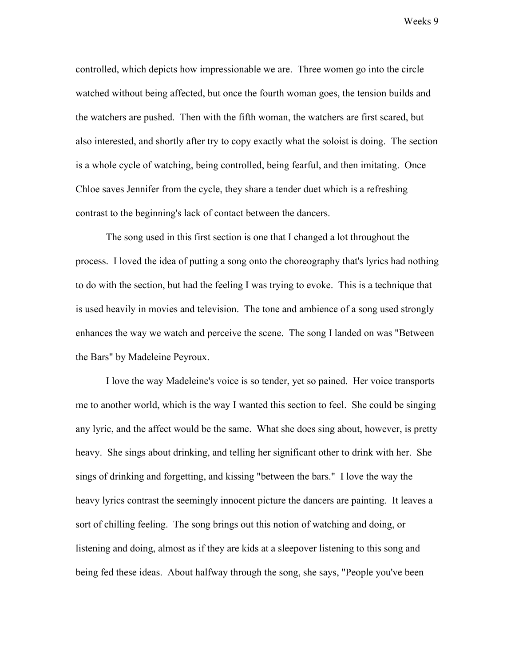controlled, which depicts how impressionable we are. Three women go into the circle watched without being affected, but once the fourth woman goes, the tension builds and the watchers are pushed. Then with the fifth woman, the watchers are first scared, but also interested, and shortly after try to copy exactly what the soloist is doing. The section is a whole cycle of watching, being controlled, being fearful, and then imitating. Once Chloe saves Jennifer from the cycle, they share a tender duet which is a refreshing contrast to the beginning's lack of contact between the dancers.

The song used in this first section is one that I changed a lot throughout the process. I loved the idea of putting a song onto the choreography that's lyrics had nothing to do with the section, but had the feeling I was trying to evoke. This is a technique that is used heavily in movies and television. The tone and ambience of a song used strongly enhances the way we watch and perceive the scene. The song I landed on was "Between the Bars" by Madeleine Peyroux.

I love the way Madeleine's voice is so tender, yet so pained. Her voice transports me to another world, which is the way I wanted this section to feel. She could be singing any lyric, and the affect would be the same. What she does sing about, however, is pretty heavy. She sings about drinking, and telling her significant other to drink with her. She sings of drinking and forgetting, and kissing "between the bars." I love the way the heavy lyrics contrast the seemingly innocent picture the dancers are painting. It leaves a sort of chilling feeling. The song brings out this notion of watching and doing, or listening and doing, almost as if they are kids at a sleepover listening to this song and being fed these ideas. About halfway through the song, she says, "People you've been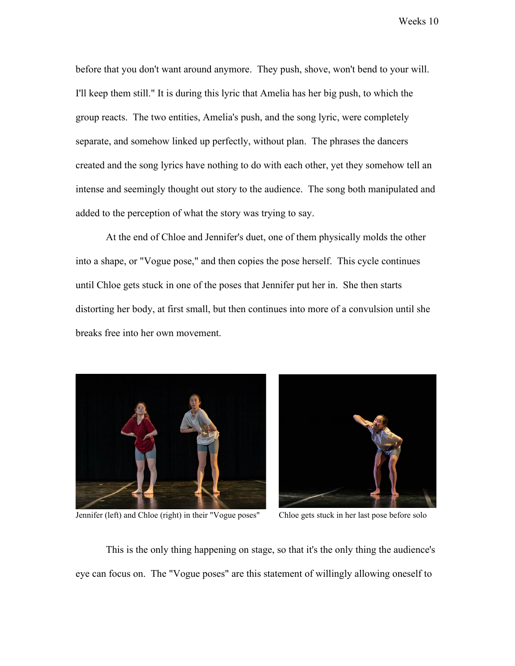before that you don't want around anymore. They push, shove, won't bend to your will. I'll keep them still." It is during this lyric that Amelia has her big push, to which the group reacts. The two entities, Amelia's push, and the song lyric, were completely separate, and somehow linked up perfectly, without plan. The phrases the dancers created and the song lyrics have nothing to do with each other, yet they somehow tell an intense and seemingly thought out story to the audience. The song both manipulated and added to the perception of what the story was trying to say.

At the end of Chloe and Jennifer's duet, one of them physically molds the other into a shape, or "Vogue pose," and then copies the pose herself. This cycle continues until Chloe gets stuck in one of the poses that Jennifer put her in. She then starts distorting her body, at first small, but then continues into more of a convulsion until she breaks free into her own movement.



Jennifer (left) and Chloe (right) in their "Vogue poses" Chloe gets stuck in her last pose before solo



This is the only thing happening on stage, so that it's the only thing the audience's eye can focus on. The "Vogue poses" are this statement of willingly allowing oneself to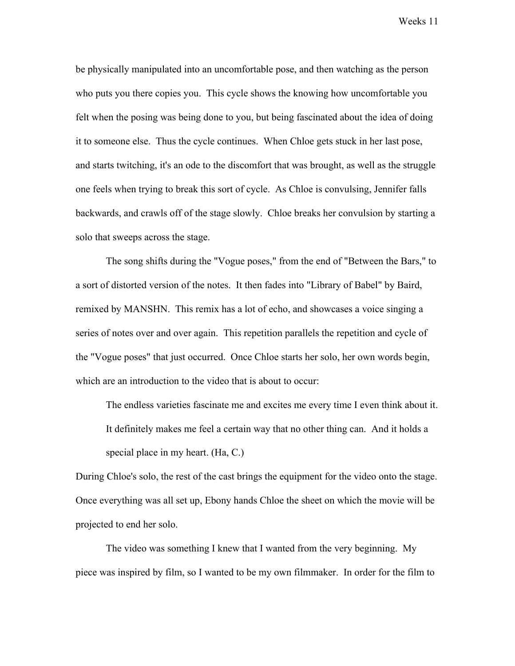be physically manipulated into an uncomfortable pose, and then watching as the person who puts you there copies you. This cycle shows the knowing how uncomfortable you felt when the posing was being done to you, but being fascinated about the idea of doing it to someone else. Thus the cycle continues. When Chloe gets stuck in her last pose, and starts twitching, it's an ode to the discomfort that was brought, as well as the struggle one feels when trying to break this sort of cycle. As Chloe is convulsing, Jennifer falls backwards, and crawls off of the stage slowly. Chloe breaks her convulsion by starting a solo that sweeps across the stage.

The song shifts during the "Vogue poses," from the end of "Between the Bars," to a sort of distorted version of the notes. It then fades into "Library of Babel" by Baird, remixed by MANSHN. This remix has a lot of echo, and showcases a voice singing a series of notes over and over again. This repetition parallels the repetition and cycle of the "Vogue poses" that just occurred. Once Chloe starts her solo, her own words begin, which are an introduction to the video that is about to occur:

The endless varieties fascinate me and excites me every time I even think about it. It definitely makes me feel a certain way that no other thing can. And it holds a special place in my heart. (Ha, C.)

During Chloe's solo, the rest of the cast brings the equipment for the video onto the stage. Once everything was all set up, Ebony hands Chloe the sheet on which the movie will be projected to end her solo.

The video was something I knew that I wanted from the very beginning. My piece was inspired by film, so I wanted to be my own filmmaker. In order for the film to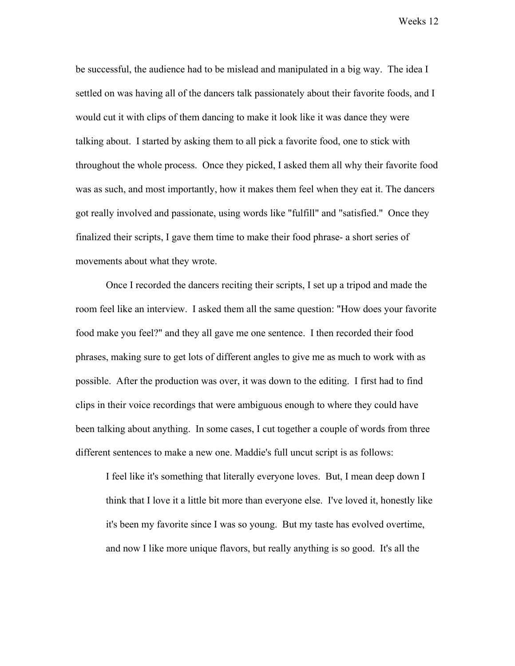be successful, the audience had to be mislead and manipulated in a big way. The idea I settled on was having all of the dancers talk passionately about their favorite foods, and I would cut it with clips of them dancing to make it look like it was dance they were talking about. I started by asking them to all pick a favorite food, one to stick with throughout the whole process. Once they picked, I asked them all why their favorite food was as such, and most importantly, how it makes them feel when they eat it. The dancers got really involved and passionate, using words like "fulfill" and "satisfied." Once they finalized their scripts, I gave them time to make their food phrase- a short series of movements about what they wrote.

Once I recorded the dancers reciting their scripts, I set up a tripod and made the room feel like an interview. I asked them all the same question: "How does your favorite food make you feel?" and they all gave me one sentence. I then recorded their food phrases, making sure to get lots of different angles to give me as much to work with as possible. After the production was over, it was down to the editing. I first had to find clips in their voice recordings that were ambiguous enough to where they could have been talking about anything. In some cases, I cut together a couple of words from three different sentences to make a new one. Maddie's full uncut script is as follows:

I feel like it's something that literally everyone loves. But, I mean deep down I think that I love it a little bit more than everyone else. I've loved it, honestly like it's been my favorite since I was so young. But my taste has evolved overtime, and now I like more unique flavors, but really anything is so good. It's all the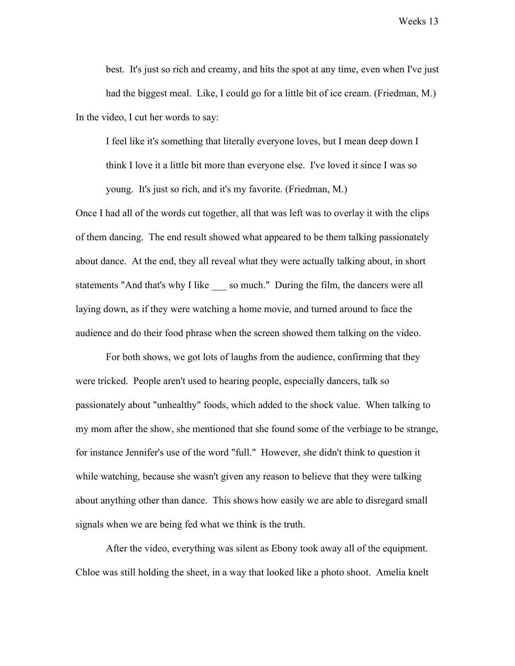best. It's just so rich and creamy, and hits the spot at any time, even when I've just had the biggest meal. Like, I could go for a little bit of ice cream. (Friedman, M.) In the video, I cut her words to say:

I feel like it's something that literally everyone loves, but I mean deep down I think I love it a little bit more than everyone else. I've loved it since I was so young. It's just so rich, and it's my favorite. (Friedman, M.)

Once I had all of the words cut together, all that was left was to overlay it with the clips of them dancing. The end result showed what appeared to be them talking passionately about dance. At the end, they all reveal what they were actually talking about, in short statements "And that's why I like so much." During the film, the dancers were all laying down, as if they were watching a home movie, and turned around to face the audience and do their food phrase when the screen showed them talking on the video.

For both shows, we got lots of laughs from the audience, confirming that they were tricked. People aren't used to hearing people, especially dancers, talk so passionately about "unhealthy" foods, which added to the shock value. When talking to my mom after the show, she mentioned that she found some of the verbiage to be strange, for instance Jennifer's use of the word "full." However, she didn't think to question it while watching, because she wasn't given any reason to believe that they were talking about anything other than dance. This shows how easily we are able to disregard small signals when we are being fed what we think is the truth.

After the video, everything was silent as Ebony took away all of the equipment. Chloe was still holding the sheet, in a way that looked like a photo shoot. Amelia knelt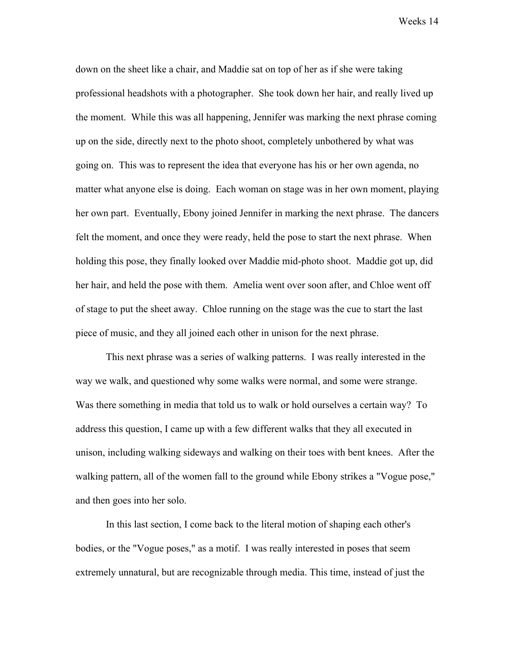down on the sheet like a chair, and Maddie sat on top of her as if she were taking professional headshots with a photographer. She took down her hair, and really lived up the moment. While this was all happening, Jennifer was marking the next phrase coming up on the side, directly next to the photo shoot, completely unbothered by what was going on. This was to represent the idea that everyone has his or her own agenda, no matter what anyone else is doing. Each woman on stage was in her own moment, playing her own part. Eventually, Ebony joined Jennifer in marking the next phrase. The dancers felt the moment, and once they were ready, held the pose to start the next phrase. When holding this pose, they finally looked over Maddie mid-photo shoot. Maddie got up, did her hair, and held the pose with them. Amelia went over soon after, and Chloe went off of stage to put the sheet away. Chloe running on the stage was the cue to start the last piece of music, and they all joined each other in unison for the next phrase.

This next phrase was a series of walking patterns. I was really interested in the way we walk, and questioned why some walks were normal, and some were strange. Was there something in media that told us to walk or hold ourselves a certain way? To address this question, I came up with a few different walks that they all executed in unison, including walking sideways and walking on their toes with bent knees. After the walking pattern, all of the women fall to the ground while Ebony strikes a "Vogue pose," and then goes into her solo.

In this last section, I come back to the literal motion of shaping each other's bodies, or the "Vogue poses," as a motif. I was really interested in poses that seem extremely unnatural, but are recognizable through media. This time, instead of just the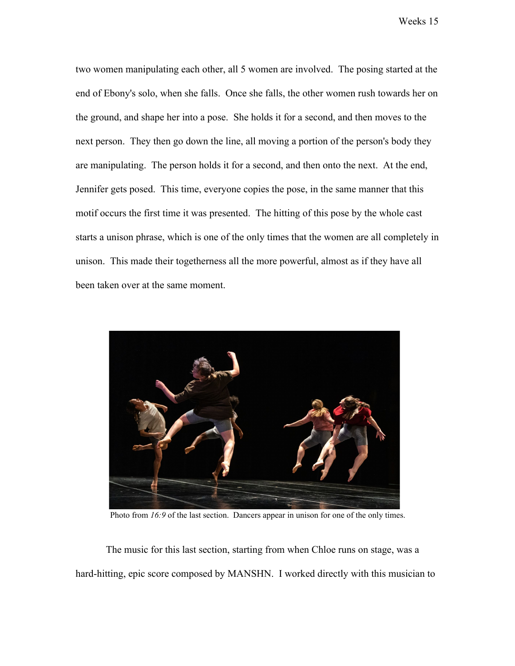two women manipulating each other, all 5 women are involved. The posing started at the end of Ebony's solo, when she falls. Once she falls, the other women rush towards her on the ground, and shape her into a pose. She holds it for a second, and then moves to the next person. They then go down the line, all moving a portion of the person's body they are manipulating. The person holds it for a second, and then onto the next. At the end, Jennifer gets posed. This time, everyone copies the pose, in the same manner that this motif occurs the first time it was presented. The hitting of this pose by the whole cast starts a unison phrase, which is one of the only times that the women are all completely in unison. This made their togetherness all the more powerful, almost as if they have all been taken over at the same moment.



Photo from *16:9* of the last section. Dancers appear in unison for one of the only times.

The music for this last section, starting from when Chloe runs on stage, was a hard-hitting, epic score composed by MANSHN. I worked directly with this musician to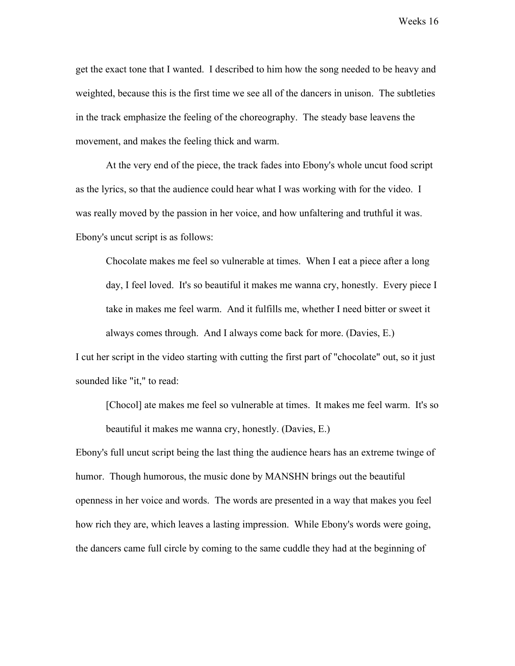get the exact tone that I wanted. I described to him how the song needed to be heavy and weighted, because this is the first time we see all of the dancers in unison. The subtleties in the track emphasize the feeling of the choreography. The steady base leavens the movement, and makes the feeling thick and warm.

At the very end of the piece, the track fades into Ebony's whole uncut food script as the lyrics, so that the audience could hear what I was working with for the video. I was really moved by the passion in her voice, and how unfaltering and truthful it was. Ebony's uncut script is as follows:

Chocolate makes me feel so vulnerable at times. When I eat a piece after a long day, I feel loved. It's so beautiful it makes me wanna cry, honestly. Every piece I take in makes me feel warm. And it fulfills me, whether I need bitter or sweet it always comes through. And I always come back for more. (Davies, E.)

I cut her script in the video starting with cutting the first part of "chocolate" out, so it just sounded like "it," to read:

[Chocol] ate makes me feel so vulnerable at times. It makes me feel warm. It's so beautiful it makes me wanna cry, honestly. (Davies, E.)

Ebony's full uncut script being the last thing the audience hears has an extreme twinge of humor. Though humorous, the music done by MANSHN brings out the beautiful openness in her voice and words. The words are presented in a way that makes you feel how rich they are, which leaves a lasting impression. While Ebony's words were going, the dancers came full circle by coming to the same cuddle they had at the beginning of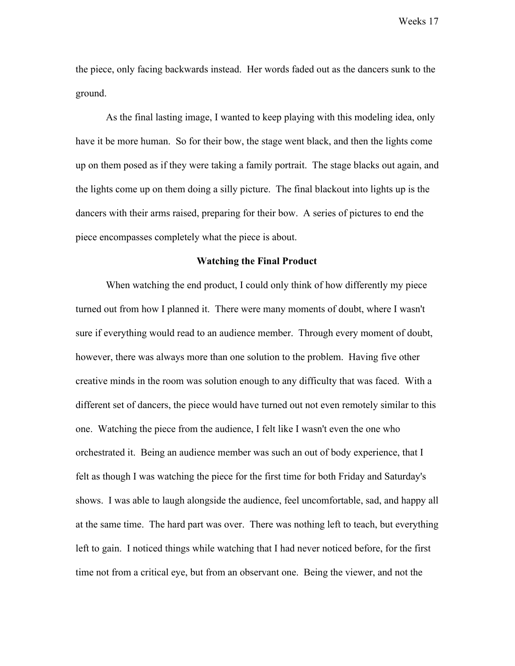the piece, only facing backwards instead. Her words faded out as the dancers sunk to the ground.

As the final lasting image, I wanted to keep playing with this modeling idea, only have it be more human. So for their bow, the stage went black, and then the lights come up on them posed as if they were taking a family portrait. The stage blacks out again, and the lights come up on them doing a silly picture. The final blackout into lights up is the dancers with their arms raised, preparing for their bow. A series of pictures to end the piece encompasses completely what the piece is about.

#### **Watching the Final Product**

When watching the end product, I could only think of how differently my piece turned out from how I planned it. There were many moments of doubt, where I wasn't sure if everything would read to an audience member. Through every moment of doubt, however, there was always more than one solution to the problem. Having five other creative minds in the room was solution enough to any difficulty that was faced. With a different set of dancers, the piece would have turned out not even remotely similar to this one. Watching the piece from the audience, I felt like I wasn't even the one who orchestrated it. Being an audience member was such an out of body experience, that I felt as though I was watching the piece for the first time for both Friday and Saturday's shows. I was able to laugh alongside the audience, feel uncomfortable, sad, and happy all at the same time. The hard part was over. There was nothing left to teach, but everything left to gain. I noticed things while watching that I had never noticed before, for the first time not from a critical eye, but from an observant one. Being the viewer, and not the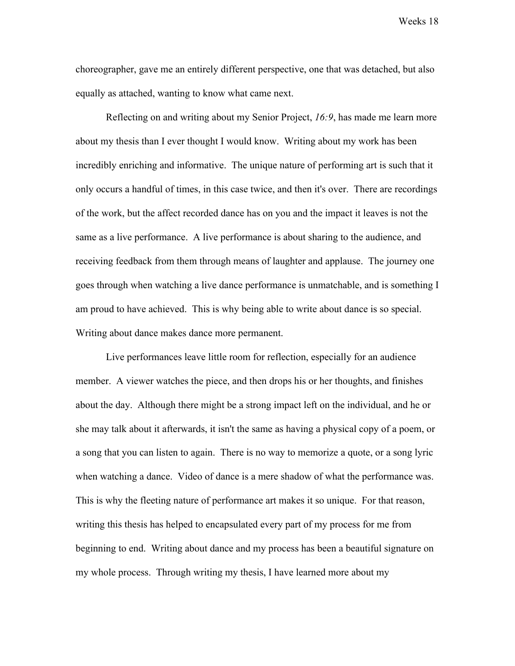choreographer, gave me an entirely different perspective, one that was detached, but also equally as attached, wanting to know what came next.

Reflecting on and writing about my Senior Project, *16:9*, has made me learn more about my thesis than I ever thought I would know. Writing about my work has been incredibly enriching and informative. The unique nature of performing art is such that it only occurs a handful of times, in this case twice, and then it's over. There are recordings of the work, but the affect recorded dance has on you and the impact it leaves is not the same as a live performance. A live performance is about sharing to the audience, and receiving feedback from them through means of laughter and applause. The journey one goes through when watching a live dance performance is unmatchable, and is something I am proud to have achieved. This is why being able to write about dance is so special. Writing about dance makes dance more permanent.

Live performances leave little room for reflection, especially for an audience member. A viewer watches the piece, and then drops his or her thoughts, and finishes about the day. Although there might be a strong impact left on the individual, and he or she may talk about it afterwards, it isn't the same as having a physical copy of a poem, or a song that you can listen to again. There is no way to memorize a quote, or a song lyric when watching a dance. Video of dance is a mere shadow of what the performance was. This is why the fleeting nature of performance art makes it so unique. For that reason, writing this thesis has helped to encapsulated every part of my process for me from beginning to end. Writing about dance and my process has been a beautiful signature on my whole process. Through writing my thesis, I have learned more about my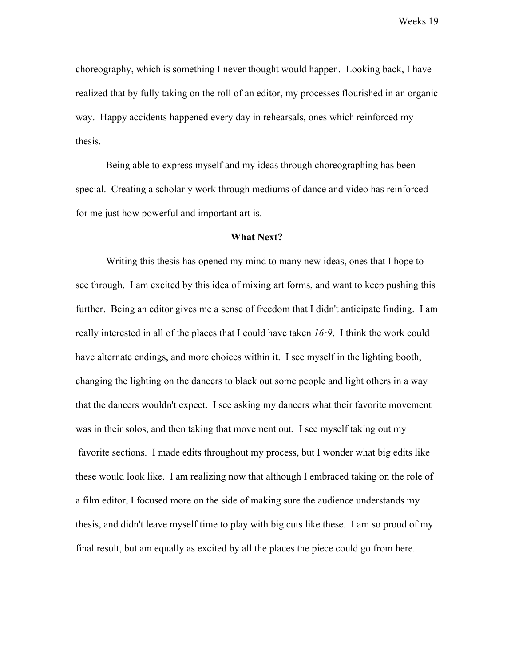choreography, which is something I never thought would happen. Looking back, I have realized that by fully taking on the roll of an editor, my processes flourished in an organic way. Happy accidents happened every day in rehearsals, ones which reinforced my thesis.

Being able to express myself and my ideas through choreographing has been special. Creating a scholarly work through mediums of dance and video has reinforced for me just how powerful and important art is.

#### **What Next?**

Writing this thesis has opened my mind to many new ideas, ones that I hope to see through. I am excited by this idea of mixing art forms, and want to keep pushing this further. Being an editor gives me a sense of freedom that I didn't anticipate finding. I am really interested in all of the places that I could have taken *16:9*. I think the work could have alternate endings, and more choices within it. I see myself in the lighting booth, changing the lighting on the dancers to black out some people and light others in a way that the dancers wouldn't expect. I see asking my dancers what their favorite movement was in their solos, and then taking that movement out. I see myself taking out my favorite sections. I made edits throughout my process, but I wonder what big edits like these would look like. I am realizing now that although I embraced taking on the role of a film editor, I focused more on the side of making sure the audience understands my thesis, and didn't leave myself time to play with big cuts like these. I am so proud of my final result, but am equally as excited by all the places the piece could go from here.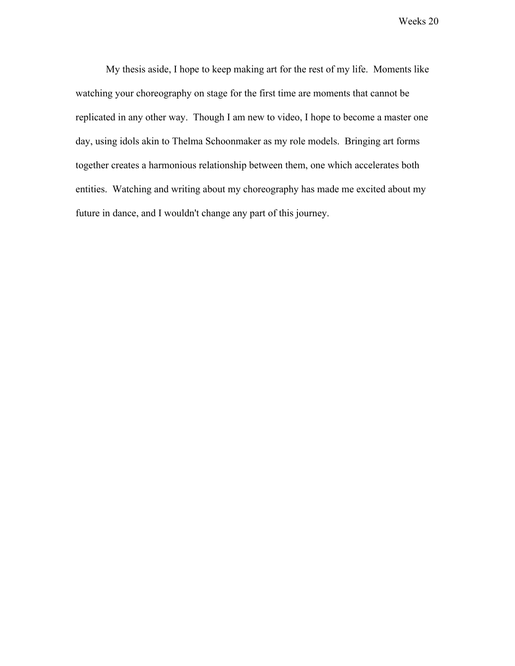My thesis aside, I hope to keep making art for the rest of my life. Moments like watching your choreography on stage for the first time are moments that cannot be replicated in any other way. Though I am new to video, I hope to become a master one day, using idols akin to Thelma Schoonmaker as my role models. Bringing art forms together creates a harmonious relationship between them, one which accelerates both entities. Watching and writing about my choreography has made me excited about my future in dance, and I wouldn't change any part of this journey.